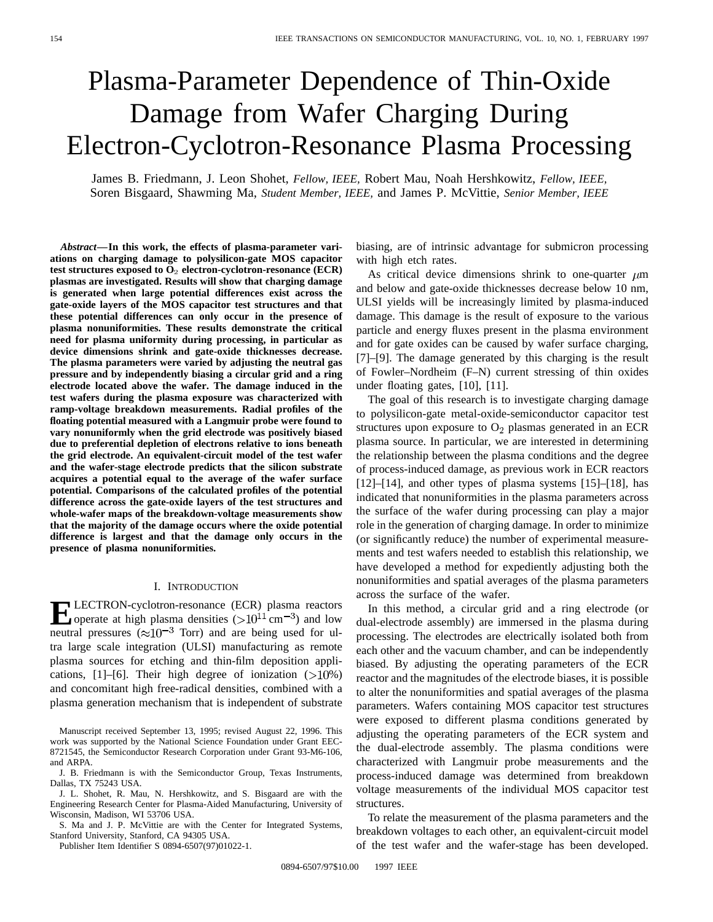# Plasma-Parameter Dependence of Thin-Oxide Damage from Wafer Charging During Electron-Cyclotron-Resonance Plasma Processing

James B. Friedmann, J. Leon Shohet, *Fellow, IEEE,* Robert Mau, Noah Hershkowitz, *Fellow, IEEE,* Soren Bisgaard, Shawming Ma, *Student Member, IEEE,* and James P. McVittie, *Senior Member, IEEE*

*Abstract—***In this work, the effects of plasma-parameter variations on charging damage to polysilicon-gate MOS capacitor test structures exposed to O**<sup>2</sup> **electron-cyclotron-resonance (ECR) plasmas are investigated. Results will show that charging damage is generated when large potential differences exist across the gate-oxide layers of the MOS capacitor test structures and that these potential differences can only occur in the presence of plasma nonuniformities. These results demonstrate the critical need for plasma uniformity during processing, in particular as device dimensions shrink and gate-oxide thicknesses decrease. The plasma parameters were varied by adjusting the neutral gas pressure and by independently biasing a circular grid and a ring electrode located above the wafer. The damage induced in the test wafers during the plasma exposure was characterized with ramp-voltage breakdown measurements. Radial profiles of the floating potential measured with a Langmuir probe were found to vary nonuniformly when the grid electrode was positively biased due to preferential depletion of electrons relative to ions beneath the grid electrode. An equivalent-circuit model of the test wafer and the wafer-stage electrode predicts that the silicon substrate acquires a potential equal to the average of the wafer surface potential. Comparisons of the calculated profiles of the potential difference across the gate-oxide layers of the test structures and whole-wafer maps of the breakdown-voltage measurements show that the majority of the damage occurs where the oxide potential difference is largest and that the damage only occurs in the presence of plasma nonuniformities.**

#### I. INTRODUCTION

**ELECTRON-cyclotron-resonance (ECR) plasma reactors**<br>
operate at high plasma densities ( $>10^{11}$  cm<sup>-3</sup>) and low neutral pressures ( $\approx 10^{-3}$  Torr) and are being used for ultra large scale integration (ULSI) manufacturing as remote plasma sources for etching and thin-film deposition applications,  $[1]$ –[6]. Their high degree of ionization ( $>10\%$ ) and concomitant high free-radical densities, combined with a plasma generation mechanism that is independent of substrate

Manuscript received September 13, 1995; revised August 22, 1996. This work was supported by the National Science Foundation under Grant EEC-8721545, the Semiconductor Research Corporation under Grant 93-M6-106, and ARPA.

J. B. Friedmann is with the Semiconductor Group, Texas Instruments, Dallas, TX 75243 USA.

J. L. Shohet, R. Mau, N. Hershkowitz, and S. Bisgaard are with the Engineering Research Center for Plasma-Aided Manufacturing, University of Wisconsin, Madison, WI 53706 USA.

S. Ma and J. P. McVittie are with the Center for Integrated Systems, Stanford University, Stanford, CA 94305 USA.

Publisher Item Identifier S 0894-6507(97)01022-1.

biasing, are of intrinsic advantage for submicron processing with high etch rates.

As critical device dimensions shrink to one-quarter  $\mu$ m and below and gate-oxide thicknesses decrease below 10 nm, ULSI yields will be increasingly limited by plasma-induced damage. This damage is the result of exposure to the various particle and energy fluxes present in the plasma environment and for gate oxides can be caused by wafer surface charging, [7]–[9]. The damage generated by this charging is the result of Fowler–Nordheim (F–N) current stressing of thin oxides under floating gates, [10], [11].

The goal of this research is to investigate charging damage to polysilicon-gate metal-oxide-semiconductor capacitor test structures upon exposure to  $O_2$  plasmas generated in an ECR plasma source. In particular, we are interested in determining the relationship between the plasma conditions and the degree of process-induced damage, as previous work in ECR reactors  $[12]$ – $[14]$ , and other types of plasma systems  $[15]$ – $[18]$ , has indicated that nonuniformities in the plasma parameters across the surface of the wafer during processing can play a major role in the generation of charging damage. In order to minimize (or significantly reduce) the number of experimental measurements and test wafers needed to establish this relationship, we have developed a method for expediently adjusting both the nonuniformities and spatial averages of the plasma parameters across the surface of the wafer.

In this method, a circular grid and a ring electrode (or dual-electrode assembly) are immersed in the plasma during processing. The electrodes are electrically isolated both from each other and the vacuum chamber, and can be independently biased. By adjusting the operating parameters of the ECR reactor and the magnitudes of the electrode biases, it is possible to alter the nonuniformities and spatial averages of the plasma parameters. Wafers containing MOS capacitor test structures were exposed to different plasma conditions generated by adjusting the operating parameters of the ECR system and the dual-electrode assembly. The plasma conditions were characterized with Langmuir probe measurements and the process-induced damage was determined from breakdown voltage measurements of the individual MOS capacitor test structures.

To relate the measurement of the plasma parameters and the breakdown voltages to each other, an equivalent-circuit model of the test wafer and the wafer-stage has been developed.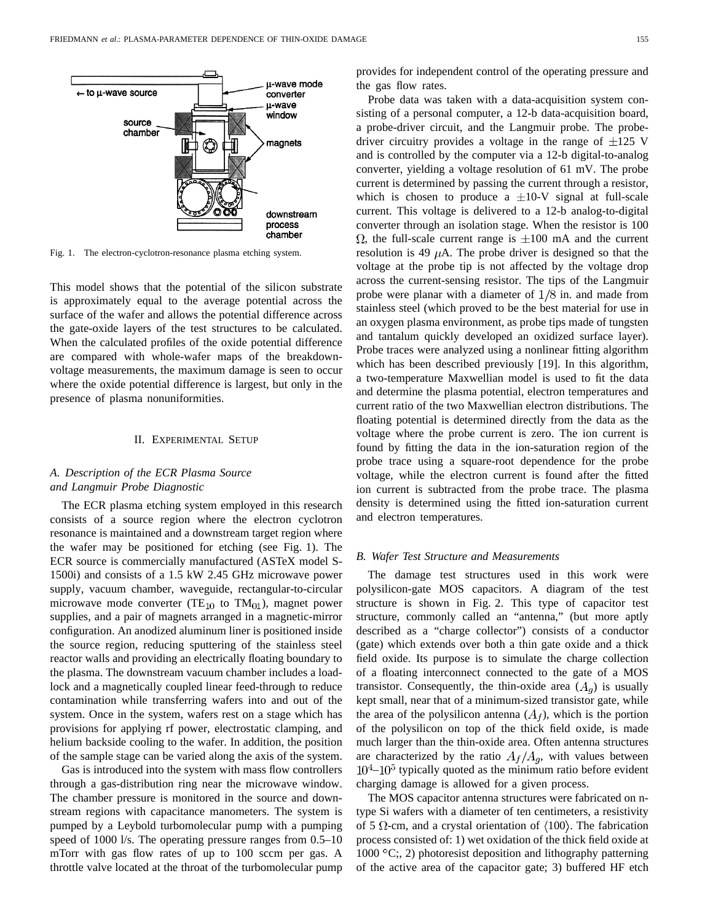

Fig. 1. The electron-cyclotron-resonance plasma etching system.

This model shows that the potential of the silicon substrate is approximately equal to the average potential across the surface of the wafer and allows the potential difference across the gate-oxide layers of the test structures to be calculated. When the calculated profiles of the oxide potential difference are compared with whole-wafer maps of the breakdownvoltage measurements, the maximum damage is seen to occur where the oxide potential difference is largest, but only in the presence of plasma nonuniformities.

## II. EXPERIMENTAL SETUP

# *A. Description of the ECR Plasma Source and Langmuir Probe Diagnostic*

The ECR plasma etching system employed in this research consists of a source region where the electron cyclotron resonance is maintained and a downstream target region where the wafer may be positioned for etching (see Fig. 1). The ECR source is commercially manufactured (ASTeX model S-1500i) and consists of a 1.5 kW 2.45 GHz microwave power supply, vacuum chamber, waveguide, rectangular-to-circular microwave mode converter (TE<sub>10</sub> to TM $_{01}$ ), magnet power supplies, and a pair of magnets arranged in a magnetic-mirror configuration. An anodized aluminum liner is positioned inside the source region, reducing sputtering of the stainless steel reactor walls and providing an electrically floating boundary to the plasma. The downstream vacuum chamber includes a loadlock and a magnetically coupled linear feed-through to reduce contamination while transferring wafers into and out of the system. Once in the system, wafers rest on a stage which has provisions for applying rf power, electrostatic clamping, and helium backside cooling to the wafer. In addition, the position of the sample stage can be varied along the axis of the system.

Gas is introduced into the system with mass flow controllers through a gas-distribution ring near the microwave window. The chamber pressure is monitored in the source and downstream regions with capacitance manometers. The system is pumped by a Leybold turbomolecular pump with a pumping speed of 1000 l/s. The operating pressure ranges from  $0.5-10$ mTorr with gas flow rates of up to 100 sccm per gas. A throttle valve located at the throat of the turbomolecular pump provides for independent control of the operating pressure and the gas flow rates.

Probe data was taken with a data-acquisition system consisting of a personal computer, a 12-b data-acquisition board, a probe-driver circuit, and the Langmuir probe. The probedriver circuitry provides a voltage in the range of  $\pm 125$  V and is controlled by the computer via a 12-b digital-to-analog converter, yielding a voltage resolution of 61 mV. The probe current is determined by passing the current through a resistor, which is chosen to produce a  $\pm 10$ -V signal at full-scale current. This voltage is delivered to a 12-b analog-to-digital converter through an isolation stage. When the resistor is 100  $\Omega$ , the full-scale current range is  $\pm 100$  mA and the current resolution is 49  $\mu$ A. The probe driver is designed so that the voltage at the probe tip is not affected by the voltage drop across the current-sensing resistor. The tips of the Langmuir probe were planar with a diameter of  $1/8$  in. and made from stainless steel (which proved to be the best material for use in an oxygen plasma environment, as probe tips made of tungsten and tantalum quickly developed an oxidized surface layer). Probe traces were analyzed using a nonlinear fitting algorithm which has been described previously [19]. In this algorithm, a two-temperature Maxwellian model is used to fit the data and determine the plasma potential, electron temperatures and current ratio of the two Maxwellian electron distributions. The floating potential is determined directly from the data as the voltage where the probe current is zero. The ion current is found by fitting the data in the ion-saturation region of the probe trace using a square-root dependence for the probe voltage, while the electron current is found after the fitted ion current is subtracted from the probe trace. The plasma density is determined using the fitted ion-saturation current and electron temperatures.

## *B. Wafer Test Structure and Measurements*

The damage test structures used in this work were polysilicon-gate MOS capacitors. A diagram of the test structure is shown in Fig. 2. This type of capacitor test structure, commonly called an "antenna," (but more aptly described as a "charge collector") consists of a conductor (gate) which extends over both a thin gate oxide and a thick field oxide. Its purpose is to simulate the charge collection of a floating interconnect connected to the gate of a MOS transistor. Consequently, the thin-oxide area  $(A<sub>a</sub>)$  is usually kept small, near that of a minimum-sized transistor gate, while the area of the polysilicon antenna  $(A_f)$ , which is the portion of the polysilicon on top of the thick field oxide, is made much larger than the thin-oxide area. Often antenna structures are characterized by the ratio  $A_f/A_g$ , with values between  $10<sup>4</sup>$ – $10<sup>5</sup>$  typically quoted as the minimum ratio before evident charging damage is allowed for a given process.

The MOS capacitor antenna structures were fabricated on ntype Si wafers with a diameter of ten centimeters, a resistivity of 5  $\Omega$ -cm, and a crystal orientation of  $\langle 100 \rangle$ . The fabrication process consisted of: 1) wet oxidation of the thick field oxide at 1000  $\rm{^{\circ}C}$ ; 2) photoresist deposition and lithography patterning of the active area of the capacitor gate; 3) buffered HF etch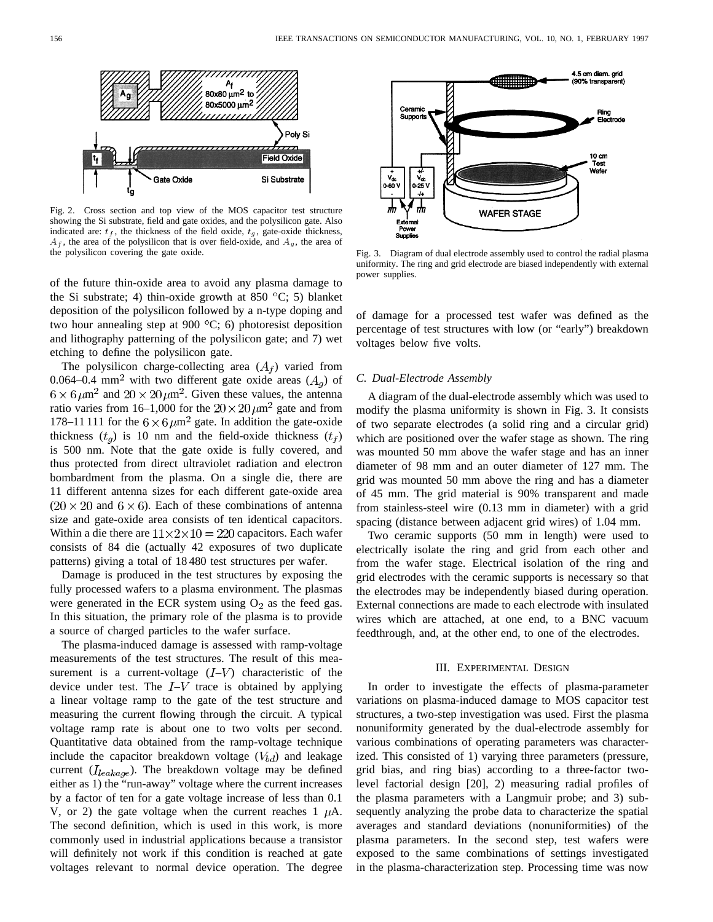

Fig. 2. Cross section and top view of the MOS capacitor test structure showing the Si substrate, field and gate oxides, and the polysilicon gate. Also indicated are:  $t_f$ , the thickness of the field oxide,  $t_g$ , gate-oxide thickness,  $A_f$ , the area of the polysilicon that is over field-oxide, and  $A_g$ , the area of the polysilicon covering the gate oxide.

of the future thin-oxide area to avoid any plasma damage to the Si substrate; 4) thin-oxide growth at 850  $^{\circ}$ C; 5) blanket deposition of the polysilicon followed by a n-type doping and two hour annealing step at 900  $^{\circ}$ C; 6) photoresist deposition and lithography patterning of the polysilicon gate; and 7) wet etching to define the polysilicon gate.

The polysilicon charge-collecting area  $(A_f)$  varied from 0.064–0.4 mm<sup>2</sup> with two different gate oxide areas  $(A<sub>a</sub>)$  of  $6 \times 6 \mu m^2$  and  $20 \times 20 \mu m^2$ . Given these values, the antenna ratio varies from 16–1,000 for the  $20 \times 20 \mu m^2$  gate and from 178–11 111 for the  $6 \times 6 \mu m^2$  gate. In addition the gate-oxide thickness  $(t_q)$  is 10 nm and the field-oxide thickness  $(t_f)$ is 500 nm. Note that the gate oxide is fully covered, and thus protected from direct ultraviolet radiation and electron bombardment from the plasma. On a single die, there are 11 different antenna sizes for each different gate-oxide area  $(20 \times 20$  and  $6 \times 6)$ . Each of these combinations of antenna size and gate-oxide area consists of ten identical capacitors. Within a die there are  $11 \times 2 \times 10 = 220$  capacitors. Each wafer consists of 84 die (actually 42 exposures of two duplicate patterns) giving a total of 18 480 test structures per wafer.

Damage is produced in the test structures by exposing the fully processed wafers to a plasma environment. The plasmas were generated in the ECR system using  $O_2$  as the feed gas. In this situation, the primary role of the plasma is to provide a source of charged particles to the wafer surface.

The plasma-induced damage is assessed with ramp-voltage measurements of the test structures. The result of this measurement is a current-voltage  $(I-V)$  characteristic of the device under test. The  $I-V$  trace is obtained by applying a linear voltage ramp to the gate of the test structure and measuring the current flowing through the circuit. A typical voltage ramp rate is about one to two volts per second. Quantitative data obtained from the ramp-voltage technique include the capacitor breakdown voltage  $(V_{bd})$  and leakage current  $(I_{leakage})$ . The breakdown voltage may be defined either as 1) the "run-away" voltage where the current increases by a factor of ten for a gate voltage increase of less than 0.1 V, or 2) the gate voltage when the current reaches 1  $\mu$ A. The second definition, which is used in this work, is more commonly used in industrial applications because a transistor will definitely not work if this condition is reached at gate voltages relevant to normal device operation. The degree



Fig. 3. Diagram of dual electrode assembly used to control the radial plasma uniformity. The ring and grid electrode are biased independently with external power supplies.

of damage for a processed test wafer was defined as the percentage of test structures with low (or "early") breakdown voltages below five volts.

## *C. Dual-Electrode Assembly*

A diagram of the dual-electrode assembly which was used to modify the plasma uniformity is shown in Fig. 3. It consists of two separate electrodes (a solid ring and a circular grid) which are positioned over the wafer stage as shown. The ring was mounted 50 mm above the wafer stage and has an inner diameter of 98 mm and an outer diameter of 127 mm. The grid was mounted 50 mm above the ring and has a diameter of 45 mm. The grid material is 90% transparent and made from stainless-steel wire (0.13 mm in diameter) with a grid spacing (distance between adjacent grid wires) of 1.04 mm.

Two ceramic supports (50 mm in length) were used to electrically isolate the ring and grid from each other and from the wafer stage. Electrical isolation of the ring and grid electrodes with the ceramic supports is necessary so that the electrodes may be independently biased during operation. External connections are made to each electrode with insulated wires which are attached, at one end, to a BNC vacuum feedthrough, and, at the other end, to one of the electrodes.

#### III. EXPERIMENTAL DESIGN

In order to investigate the effects of plasma-parameter variations on plasma-induced damage to MOS capacitor test structures, a two-step investigation was used. First the plasma nonuniformity generated by the dual-electrode assembly for various combinations of operating parameters was characterized. This consisted of 1) varying three parameters (pressure, grid bias, and ring bias) according to a three-factor twolevel factorial design [20], 2) measuring radial profiles of the plasma parameters with a Langmuir probe; and 3) subsequently analyzing the probe data to characterize the spatial averages and standard deviations (nonuniformities) of the plasma parameters. In the second step, test wafers were exposed to the same combinations of settings investigated in the plasma-characterization step. Processing time was now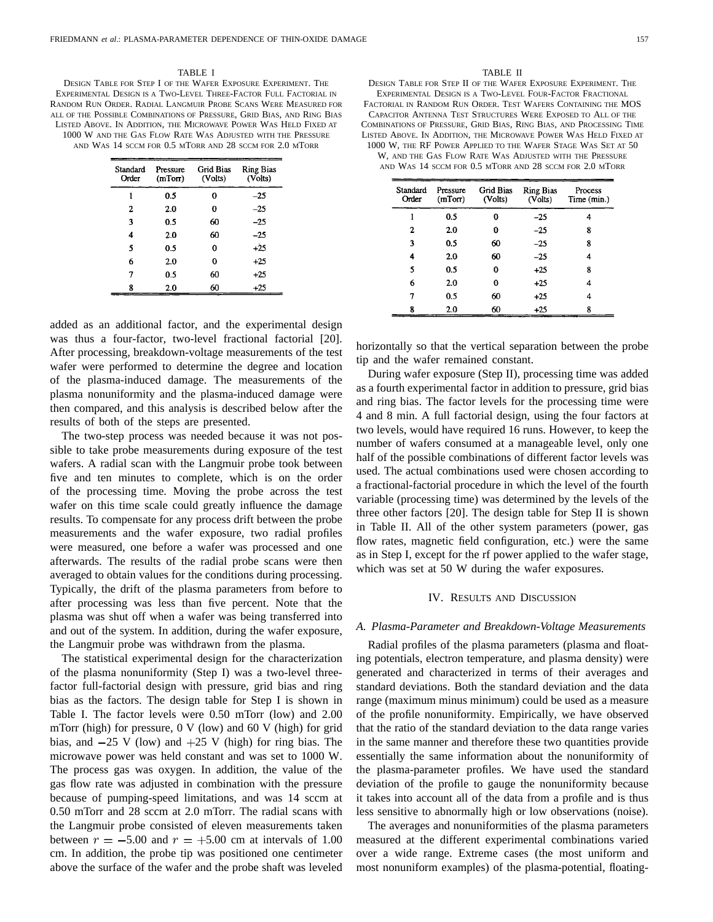#### TABLE I

DESIGN TABLE FOR STEP I OF THE WAFER EXPOSURE EXPERIMENT. THE EXPERIMENTAL DESIGN IS A TWO-LEVEL THREE-FACTOR FULL FACTORIAL IN RANDOM RUN ORDER. RADIAL LANGMUIR PROBE SCANS WERE MEASURED FOR ALL OF THE POSSIBLE COMBINATIONS OF PRESSURE, GRID BIAS, AND RING BIAS LISTED ABOVE. IN ADDITION, THE MICROWAVE POWER WAS HELD FIXED AT 1000 W AND THE GAS FLOW RATE WAS ADJUSTED WITH THE PRESSURE AND WAS 14 SCCM FOR 0.5 MTORR AND 28 SCCM FOR 2.0 MTORR

| Standard<br>Order | Pressure<br>(mT <sub>OT</sub> ) | Grid Bias<br>(Volts) | <b>Ring Bias</b><br>(Volts) |
|-------------------|---------------------------------|----------------------|-----------------------------|
| 1                 | 0.5                             | Ω                    | $-25$                       |
| 2                 | 2.0                             | 0                    | $-25$                       |
| 3                 | 0.5                             | 60                   | $-25$                       |
| 4                 | 2.0                             | 60                   | $-25$                       |
| 5                 | 0.5                             | o                    | +25                         |
| 6                 | 2.0                             | Ω                    | $+25$                       |
| 7                 | 0.5                             | 60                   | $+25$                       |
| 8                 | 2.0                             | 60                   | $+25$                       |

added as an additional factor, and the experimental design was thus a four-factor, two-level fractional factorial [20]. After processing, breakdown-voltage measurements of the test wafer were performed to determine the degree and location of the plasma-induced damage. The measurements of the plasma nonuniformity and the plasma-induced damage were then compared, and this analysis is described below after the results of both of the steps are presented.

The two-step process was needed because it was not possible to take probe measurements during exposure of the test wafers. A radial scan with the Langmuir probe took between five and ten minutes to complete, which is on the order of the processing time. Moving the probe across the test wafer on this time scale could greatly influence the damage results. To compensate for any process drift between the probe measurements and the wafer exposure, two radial profiles were measured, one before a wafer was processed and one afterwards. The results of the radial probe scans were then averaged to obtain values for the conditions during processing. Typically, the drift of the plasma parameters from before to after processing was less than five percent. Note that the plasma was shut off when a wafer was being transferred into and out of the system. In addition, during the wafer exposure, the Langmuir probe was withdrawn from the plasma.

The statistical experimental design for the characterization of the plasma nonuniformity (Step I) was a two-level threefactor full-factorial design with pressure, grid bias and ring bias as the factors. The design table for Step I is shown in Table I. The factor levels were 0.50 mTorr (low) and 2.00 mTorr (high) for pressure, 0 V (low) and 60 V (high) for grid bias, and  $-25$  V (low) and  $+25$  V (high) for ring bias. The microwave power was held constant and was set to 1000 W. The process gas was oxygen. In addition, the value of the gas flow rate was adjusted in combination with the pressure because of pumping-speed limitations, and was 14 sccm at 0.50 mTorr and 28 sccm at 2.0 mTorr. The radial scans with the Langmuir probe consisted of eleven measurements taken between  $r = -5.00$  and  $r = +5.00$  cm at intervals of 1.00 cm. In addition, the probe tip was positioned one centimeter above the surface of the wafer and the probe shaft was leveled

DESIGN TABLE FOR STEP II OF THE WAFER EXPOSURE EXPERIMENT. THE EXPERIMENTAL DESIGN IS A TWO-LEVEL FOUR-FACTOR FRACTIONAL FACTORIAL IN RANDOM RUN ORDER. TEST WAFERS CONTAINING THE MOS CAPACITOR ANTENNA TEST STRUCTURES WERE EXPOSED TO ALL OF THE COMBINATIONS OF PRESSURE, GRID BIAS, RING BIAS, AND PROCESSING TIME LISTED ABOVE. IN ADDITION, THE MICROWAVE POWER WAS HELD FIXED AT 1000 W, THE RF POWER APPLIED TO THE WAFER STAGE WAS SET AT 50 W, AND THE GAS FLOW RATE WAS ADJUSTED WITH THE PRESSURE

AND WAS 14 SCCM FOR 0.5 MTORR AND 28 SCCM FOR 2.0 MTORR

| Standard<br>Order | Pressure<br>(mT <sub>OT</sub> ) | <b>Grid Bias</b><br>(Volts) | <b>Ring Bias</b><br>(Volts) | Process<br>Time (min.) |
|-------------------|---------------------------------|-----------------------------|-----------------------------|------------------------|
|                   | 0.5                             | 0                           | $-25$                       |                        |
| 2                 | 2.0                             | 0                           | $-25$                       | 8                      |
| 3                 | 0.5                             | 60                          | $-25$                       | 8                      |
| 4                 | 2.0                             | 60                          | $-25$                       |                        |
| 5                 | 0.5                             | 0                           | $+25$                       | 8                      |
| 6                 | 2.0                             | 0                           | $+25$                       |                        |
| 7                 | 0.5                             | 60                          | $+25$                       |                        |
| ጸ                 | 2.0                             | 60                          | $+25$                       | Ջ                      |

horizontally so that the vertical separation between the probe tip and the wafer remained constant.

During wafer exposure (Step II), processing time was added as a fourth experimental factor in addition to pressure, grid bias and ring bias. The factor levels for the processing time were 4 and 8 min. A full factorial design, using the four factors at two levels, would have required 16 runs. However, to keep the number of wafers consumed at a manageable level, only one half of the possible combinations of different factor levels was used. The actual combinations used were chosen according to a fractional-factorial procedure in which the level of the fourth variable (processing time) was determined by the levels of the three other factors [20]. The design table for Step II is shown in Table II. All of the other system parameters (power, gas flow rates, magnetic field configuration, etc.) were the same as in Step I, except for the rf power applied to the wafer stage, which was set at 50 W during the wafer exposures.

## IV. RESULTS AND DISCUSSION

## *A. Plasma-Parameter and Breakdown-Voltage Measurements*

Radial profiles of the plasma parameters (plasma and floating potentials, electron temperature, and plasma density) were generated and characterized in terms of their averages and standard deviations. Both the standard deviation and the data range (maximum minus minimum) could be used as a measure of the profile nonuniformity. Empirically, we have observed that the ratio of the standard deviation to the data range varies in the same manner and therefore these two quantities provide essentially the same information about the nonuniformity of the plasma-parameter profiles. We have used the standard deviation of the profile to gauge the nonuniformity because it takes into account all of the data from a profile and is thus less sensitive to abnormally high or low observations (noise).

The averages and nonuniformities of the plasma parameters measured at the different experimental combinations varied over a wide range. Extreme cases (the most uniform and most nonuniform examples) of the plasma-potential, floating-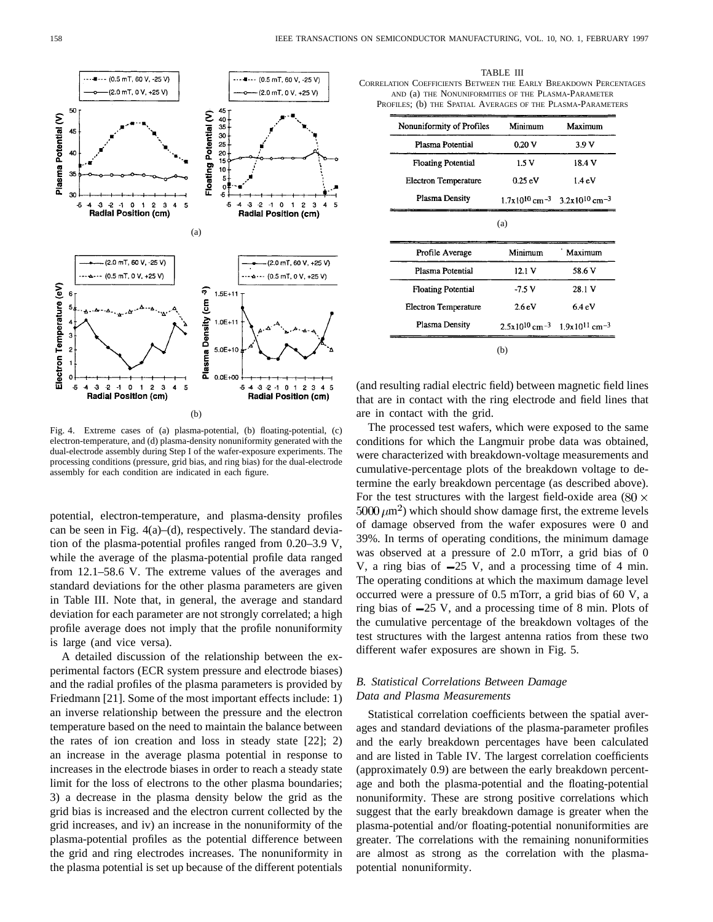

Fig. 4. Extreme cases of (a) plasma-potential, (b) floating-potential, (c) electron-temperature, and (d) plasma-density nonuniformity generated with the dual-electrode assembly during Step I of the wafer-exposure experiments. The processing conditions (pressure, grid bias, and ring bias) for the dual-electrode assembly for each condition are indicated in each figure.

potential, electron-temperature, and plasma-density profiles can be seen in Fig. 4(a)–(d), respectively. The standard deviation of the plasma-potential profiles ranged from 0.20–3.9 V, while the average of the plasma-potential profile data ranged from 12.1–58.6 V. The extreme values of the averages and standard deviations for the other plasma parameters are given in Table III. Note that, in general, the average and standard deviation for each parameter are not strongly correlated; a high profile average does not imply that the profile nonuniformity is large (and vice versa).

A detailed discussion of the relationship between the experimental factors (ECR system pressure and electrode biases) and the radial profiles of the plasma parameters is provided by Friedmann [21]. Some of the most important effects include: 1) an inverse relationship between the pressure and the electron temperature based on the need to maintain the balance between the rates of ion creation and loss in steady state [22]; 2) an increase in the average plasma potential in response to increases in the electrode biases in order to reach a steady state limit for the loss of electrons to the other plasma boundaries; 3) a decrease in the plasma density below the grid as the grid bias is increased and the electron current collected by the grid increases, and iv) an increase in the nonuniformity of the plasma-potential profiles as the potential difference between the grid and ring electrodes increases. The nonuniformity in the plasma potential is set up because of the different potentials

TABLE III CORRELATION COEFFICIENTS BETWEEN THE EARLY BREAKDOWN PERCENTAGES AND (a) THE NONUNIFORMITIES OF THE PLASMA-PARAMETER PROFILES; (b) THE SPATIAL AVERAGES OF THE PLASMA-PARAMETERS

| Nonuniformity of Profiles   | Minimum                                                              | Maximum                                                        |  |  |
|-----------------------------|----------------------------------------------------------------------|----------------------------------------------------------------|--|--|
| Plasma Potential            | 0.20V                                                                | 3.9 V                                                          |  |  |
| <b>Floating Potential</b>   | 1.5 V                                                                | 18.4 V                                                         |  |  |
| <b>Electron Temperature</b> | 0.25 eV                                                              | 1.4eV                                                          |  |  |
| Plasma Density              |                                                                      | $1.7x10^{10}$ cm $^{-3}$ 3.2x10 <sup>10</sup> cm <sup>-3</sup> |  |  |
| (a)                         |                                                                      |                                                                |  |  |
|                             |                                                                      |                                                                |  |  |
| Profile Average             | Minimum                                                              | Maximum                                                        |  |  |
| Plasma Potential            | 12.1 V                                                               | 58.6 V                                                         |  |  |
| <b>Floating Potential</b>   | -7.5 V                                                               | 28.1 V                                                         |  |  |
| Electron Temperature        | 2.6eV                                                                | 6.4 eV                                                         |  |  |
| Plasma Density              | $2.5x10^{10}$ cm <sup>-3</sup> 1.9x10 <sup>11</sup> cm <sup>-3</sup> |                                                                |  |  |

(and resulting radial electric field) between magnetic field lines that are in contact with the ring electrode and field lines that are in contact with the grid.

The processed test wafers, which were exposed to the same conditions for which the Langmuir probe data was obtained, were characterized with breakdown-voltage measurements and cumulative-percentage plots of the breakdown voltage to determine the early breakdown percentage (as described above). For the test structures with the largest field-oxide area  $(80 \times$  $5000 \,\mu\text{m}^2$ ) which should show damage first, the extreme levels of damage observed from the wafer exposures were 0 and 39%. In terms of operating conditions, the minimum damage was observed at a pressure of 2.0 mTorr, a grid bias of 0 V, a ring bias of  $-25$  V, and a processing time of 4 min. The operating conditions at which the maximum damage level occurred were a pressure of 0.5 mTorr, a grid bias of 60 V, a ring bias of  $-25$  V, and a processing time of 8 min. Plots of the cumulative percentage of the breakdown voltages of the test structures with the largest antenna ratios from these two different wafer exposures are shown in Fig. 5.

## *B. Statistical Correlations Between Damage Data and Plasma Measurements*

Statistical correlation coefficients between the spatial averages and standard deviations of the plasma-parameter profiles and the early breakdown percentages have been calculated and are listed in Table IV. The largest correlation coefficients (approximately 0.9) are between the early breakdown percentage and both the plasma-potential and the floating-potential nonuniformity. These are strong positive correlations which suggest that the early breakdown damage is greater when the plasma-potential and/or floating-potential nonuniformities are greater. The correlations with the remaining nonuniformities are almost as strong as the correlation with the plasmapotential nonuniformity.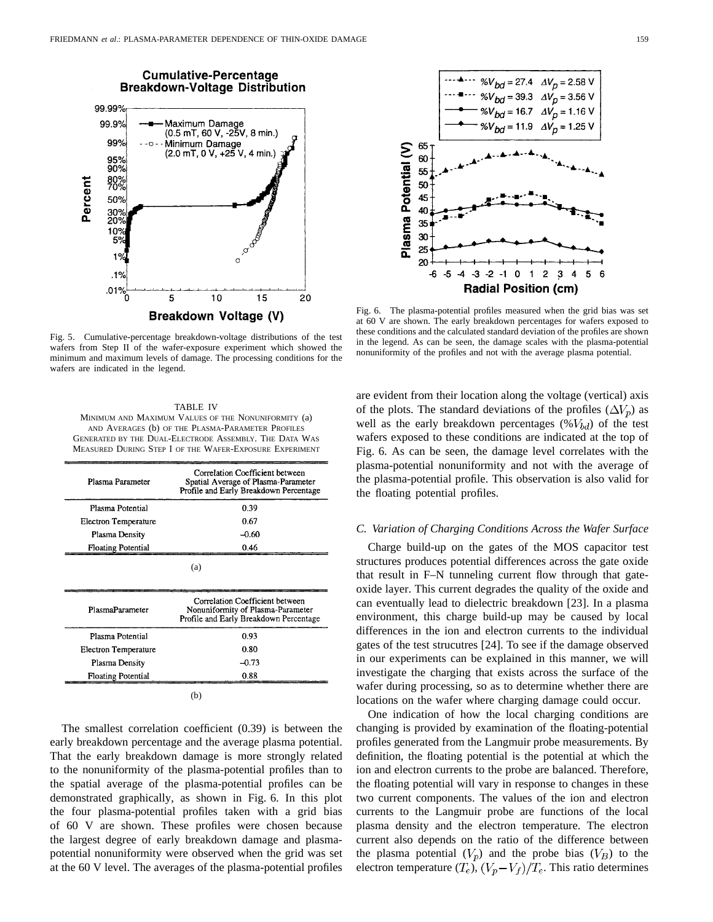

Fig. 5. Cumulative-percentage breakdown-voltage distributions of the test wafers from Step II of the wafer-exposure experiment which showed the minimum and maximum levels of damage. The processing conditions for the wafers are indicated in the legend.

| <b>TABLE IV</b>                                         |
|---------------------------------------------------------|
| MINIMUM AND MAXIMUM VALUES OF THE NONUNIFORMITY (a)     |
| AND AVERAGES (b) OF THE PLASMA-PARAMETER PROFILES       |
| GENERATED BY THE DUAL-ELECTRODE ASSEMBLY. THE DATA WAS  |
| MEASURED DURING STEP I OF THE WAFER-EXPOSURE EXPERIMENT |
|                                                         |

| Plasma Parameter          | Correlation Coefficient between<br>Spatial Average of Plasma-Parameter<br>Profile and Early Breakdown Percentage |
|---------------------------|------------------------------------------------------------------------------------------------------------------|
| Plasma Potential          | 0.39                                                                                                             |
| Electron Temperature      | 0.67                                                                                                             |
| Plasma Density            | -0.60                                                                                                            |
| <b>Floating Potential</b> | 0.46                                                                                                             |
|                           | (a)                                                                                                              |
| PlasmaParameter           | Correlation Coefficient between<br>Nonuniformity of Plasma-Parameter<br>Profile and Early Breakdown Percentage   |
| Plasma Potential          | 0.93                                                                                                             |
| Electron Temperature      | 0.80                                                                                                             |
|                           |                                                                                                                  |
| Plasma Density            | $-0.73$                                                                                                          |
| Floating Potential        | 0.88                                                                                                             |

The smallest correlation coefficient (0.39) is between the early breakdown percentage and the average plasma potential. That the early breakdown damage is more strongly related to the nonuniformity of the plasma-potential profiles than to the spatial average of the plasma-potential profiles can be demonstrated graphically, as shown in Fig. 6. In this plot the four plasma-potential profiles taken with a grid bias of 60 V are shown. These profiles were chosen because the largest degree of early breakdown damage and plasmapotential nonuniformity were observed when the grid was set at the 60 V level. The averages of the plasma-potential profiles



Fig. 6. The plasma-potential profiles measured when the grid bias was set at 60 V are shown. The early breakdown percentages for wafers exposed to these conditions and the calculated standard deviation of the profiles are shown in the legend. As can be seen, the damage scales with the plasma-potential nonuniformity of the profiles and not with the average plasma potential.

are evident from their location along the voltage (vertical) axis of the plots. The standard deviations of the profiles  $(\Delta V_p)$  as well as the early breakdown percentages (% $V_{bd}$ ) of the test wafers exposed to these conditions are indicated at the top of Fig. 6. As can be seen, the damage level correlates with the plasma-potential nonuniformity and not with the average of the plasma-potential profile. This observation is also valid for the floating potential profiles.

#### *C. Variation of Charging Conditions Across the Wafer Surface*

Charge build-up on the gates of the MOS capacitor test structures produces potential differences across the gate oxide that result in F–N tunneling current flow through that gateoxide layer. This current degrades the quality of the oxide and can eventually lead to dielectric breakdown [23]. In a plasma environment, this charge build-up may be caused by local differences in the ion and electron currents to the individual gates of the test strucutres [24]. To see if the damage observed in our experiments can be explained in this manner, we will investigate the charging that exists across the surface of the wafer during processing, so as to determine whether there are locations on the wafer where charging damage could occur.

One indication of how the local charging conditions are changing is provided by examination of the floating-potential profiles generated from the Langmuir probe measurements. By definition, the floating potential is the potential at which the ion and electron currents to the probe are balanced. Therefore, the floating potential will vary in response to changes in these two current components. The values of the ion and electron currents to the Langmuir probe are functions of the local plasma density and the electron temperature. The electron current also depends on the ratio of the difference between the plasma potential  $(V_p)$  and the probe bias  $(V_B)$  to the electron temperature  $(T_e)$ ,  $(V_p - V_f)/T_e$ . This ratio determines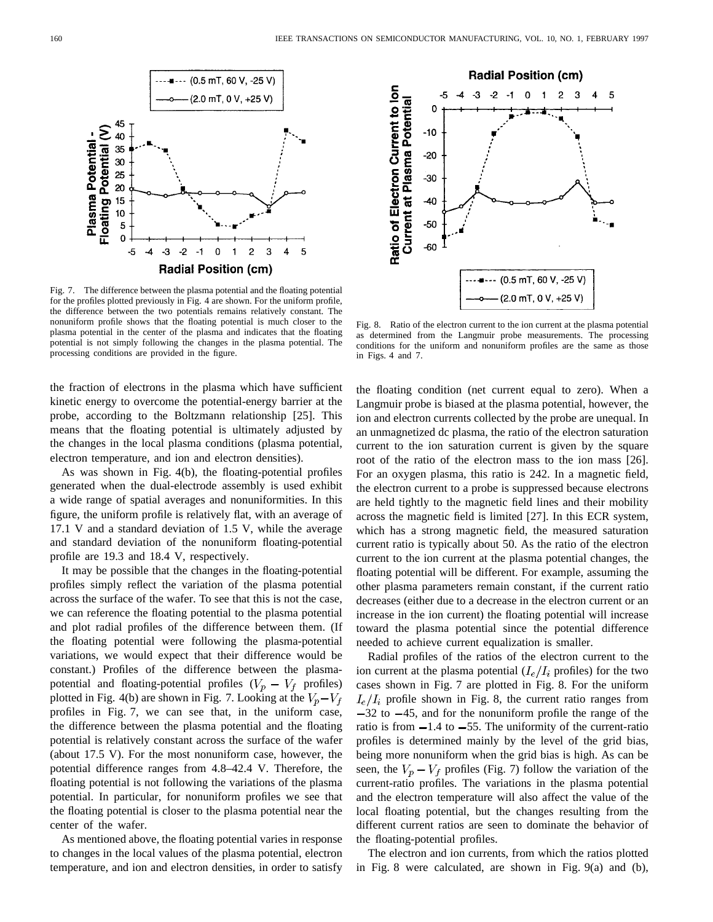

Fig. 7. The difference between the plasma potential and the floating potential for the profiles plotted previously in Fig. 4 are shown. For the uniform profile, the difference between the two potentials remains relatively constant. The nonuniform profile shows that the floating potential is much closer to the plasma potential in the center of the plasma and indicates that the floating potential is not simply following the changes in the plasma potential. The processing conditions are provided in the figure.

the fraction of electrons in the plasma which have sufficient kinetic energy to overcome the potential-energy barrier at the probe, according to the Boltzmann relationship [25]. This means that the floating potential is ultimately adjusted by the changes in the local plasma conditions (plasma potential, electron temperature, and ion and electron densities).

As was shown in Fig. 4(b), the floating-potential profiles generated when the dual-electrode assembly is used exhibit a wide range of spatial averages and nonuniformities. In this figure, the uniform profile is relatively flat, with an average of 17.1 V and a standard deviation of 1.5 V, while the average and standard deviation of the nonuniform floating-potential profile are 19.3 and 18.4 V, respectively.

It may be possible that the changes in the floating-potential profiles simply reflect the variation of the plasma potential across the surface of the wafer. To see that this is not the case, we can reference the floating potential to the plasma potential and plot radial profiles of the difference between them. (If the floating potential were following the plasma-potential variations, we would expect that their difference would be constant.) Profiles of the difference between the plasmapotential and floating-potential profiles  $(V_p - V_f)$  profiles) plotted in Fig. 4(b) are shown in Fig. 7. Looking at the  $V_p - V_f$ profiles in Fig. 7, we can see that, in the uniform case, the difference between the plasma potential and the floating potential is relatively constant across the surface of the wafer (about 17.5 V). For the most nonuniform case, however, the potential difference ranges from 4.8–42.4 V. Therefore, the floating potential is not following the variations of the plasma potential. In particular, for nonuniform profiles we see that the floating potential is closer to the plasma potential near the center of the wafer.

As mentioned above, the floating potential varies in response to changes in the local values of the plasma potential, electron temperature, and ion and electron densities, in order to satisfy



Fig. 8. Ratio of the electron current to the ion current at the plasma potential as determined from the Langmuir probe measurements. The processing conditions for the uniform and nonuniform profiles are the same as those in Figs. 4 and 7.

the floating condition (net current equal to zero). When a Langmuir probe is biased at the plasma potential, however, the ion and electron currents collected by the probe are unequal. In an unmagnetized dc plasma, the ratio of the electron saturation current to the ion saturation current is given by the square root of the ratio of the electron mass to the ion mass [26]. For an oxygen plasma, this ratio is 242. In a magnetic field, the electron current to a probe is suppressed because electrons are held tightly to the magnetic field lines and their mobility across the magnetic field is limited [27]. In this ECR system, which has a strong magnetic field, the measured saturation current ratio is typically about 50. As the ratio of the electron current to the ion current at the plasma potential changes, the floating potential will be different. For example, assuming the other plasma parameters remain constant, if the current ratio decreases (either due to a decrease in the electron current or an increase in the ion current) the floating potential will increase toward the plasma potential since the potential difference needed to achieve current equalization is smaller.

Radial profiles of the ratios of the electron current to the ion current at the plasma potential  $(I_e/I_i)$  profiles) for the two cases shown in Fig. 7 are plotted in Fig. 8. For the uniform  $I_e/I_i$  profile shown in Fig. 8, the current ratio ranges from  $-32$  to  $-45$ , and for the nonuniform profile the range of the ratio is from  $-1.4$  to  $-55$ . The uniformity of the current-ratio profiles is determined mainly by the level of the grid bias, being more nonuniform when the grid bias is high. As can be seen, the  $V_p - V_f$  profiles (Fig. 7) follow the variation of the current-ratio profiles. The variations in the plasma potential and the electron temperature will also affect the value of the local floating potential, but the changes resulting from the different current ratios are seen to dominate the behavior of the floating-potential profiles.

The electron and ion currents, from which the ratios plotted in Fig. 8 were calculated, are shown in Fig. 9(a) and (b),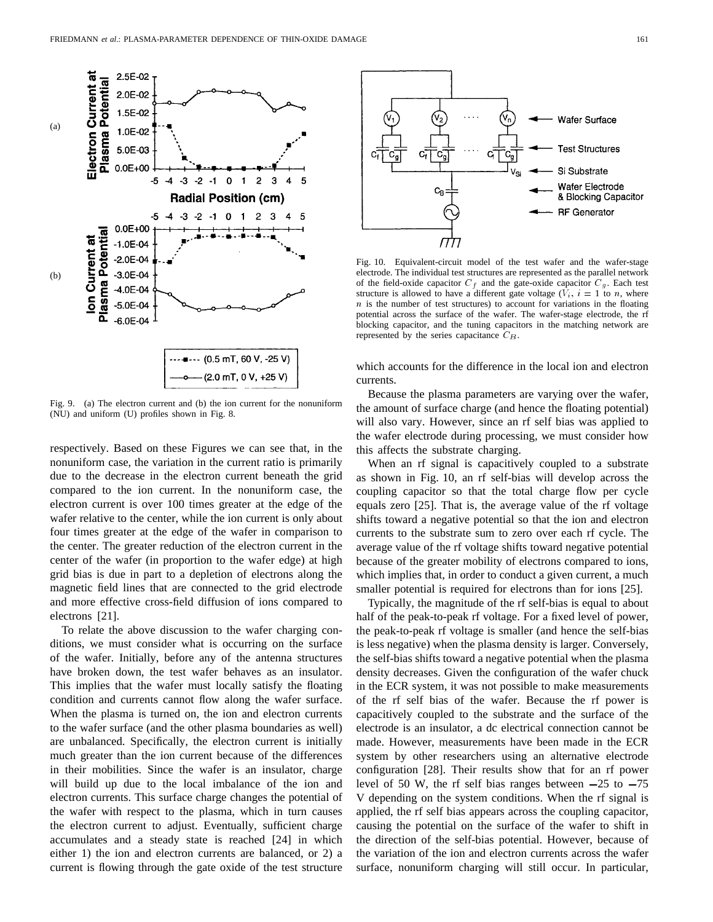

Fig. 9. (a) The electron current and (b) the ion current for the nonuniform (NU) and uniform (U) profiles shown in Fig. 8.

respectively. Based on these Figures we can see that, in the nonuniform case, the variation in the current ratio is primarily due to the decrease in the electron current beneath the grid compared to the ion current. In the nonuniform case, the electron current is over 100 times greater at the edge of the wafer relative to the center, while the ion current is only about four times greater at the edge of the wafer in comparison to the center. The greater reduction of the electron current in the center of the wafer (in proportion to the wafer edge) at high grid bias is due in part to a depletion of electrons along the magnetic field lines that are connected to the grid electrode and more effective cross-field diffusion of ions compared to electrons [21].

To relate the above discussion to the wafer charging conditions, we must consider what is occurring on the surface of the wafer. Initially, before any of the antenna structures have broken down, the test wafer behaves as an insulator. This implies that the wafer must locally satisfy the floating condition and currents cannot flow along the wafer surface. When the plasma is turned on, the ion and electron currents to the wafer surface (and the other plasma boundaries as well) are unbalanced. Specifically, the electron current is initially much greater than the ion current because of the differences in their mobilities. Since the wafer is an insulator, charge will build up due to the local imbalance of the ion and electron currents. This surface charge changes the potential of the wafer with respect to the plasma, which in turn causes the electron current to adjust. Eventually, sufficient charge accumulates and a steady state is reached [24] in which either 1) the ion and electron currents are balanced, or 2) a current is flowing through the gate oxide of the test structure



Fig. 10. Equivalent-circuit model of the test wafer and the wafer-stage electrode. The individual test structures are represented as the parallel network of the field-oxide capacitor  $C_f$  and the gate-oxide capacitor  $C_g$ . Each test structure is allowed to have a different gate voltage  $(V_i, i = 1$  to n, where  $n$  is the number of test structures) to account for variations in the floating potential across the surface of the wafer. The wafer-stage electrode, the rf blocking capacitor, and the tuning capacitors in the matching network are represented by the series capacitance  $C_B$ .

which accounts for the difference in the local ion and electron currents.

Because the plasma parameters are varying over the wafer, the amount of surface charge (and hence the floating potential) will also vary. However, since an rf self bias was applied to the wafer electrode during processing, we must consider how this affects the substrate charging.

When an rf signal is capacitively coupled to a substrate as shown in Fig. 10, an rf self-bias will develop across the coupling capacitor so that the total charge flow per cycle equals zero [25]. That is, the average value of the rf voltage shifts toward a negative potential so that the ion and electron currents to the substrate sum to zero over each rf cycle. The average value of the rf voltage shifts toward negative potential because of the greater mobility of electrons compared to ions, which implies that, in order to conduct a given current, a much smaller potential is required for electrons than for ions [25].

Typically, the magnitude of the rf self-bias is equal to about half of the peak-to-peak rf voltage. For a fixed level of power, the peak-to-peak rf voltage is smaller (and hence the self-bias is less negative) when the plasma density is larger. Conversely, the self-bias shifts toward a negative potential when the plasma density decreases. Given the configuration of the wafer chuck in the ECR system, it was not possible to make measurements of the rf self bias of the wafer. Because the rf power is capacitively coupled to the substrate and the surface of the electrode is an insulator, a dc electrical connection cannot be made. However, measurements have been made in the ECR system by other researchers using an alternative electrode configuration [28]. Their results show that for an rf power level of 50 W, the rf self bias ranges between  $-25$  to  $-75$ V depending on the system conditions. When the rf signal is applied, the rf self bias appears across the coupling capacitor, causing the potential on the surface of the wafer to shift in the direction of the self-bias potential. However, because of the variation of the ion and electron currents across the wafer surface, nonuniform charging will still occur. In particular,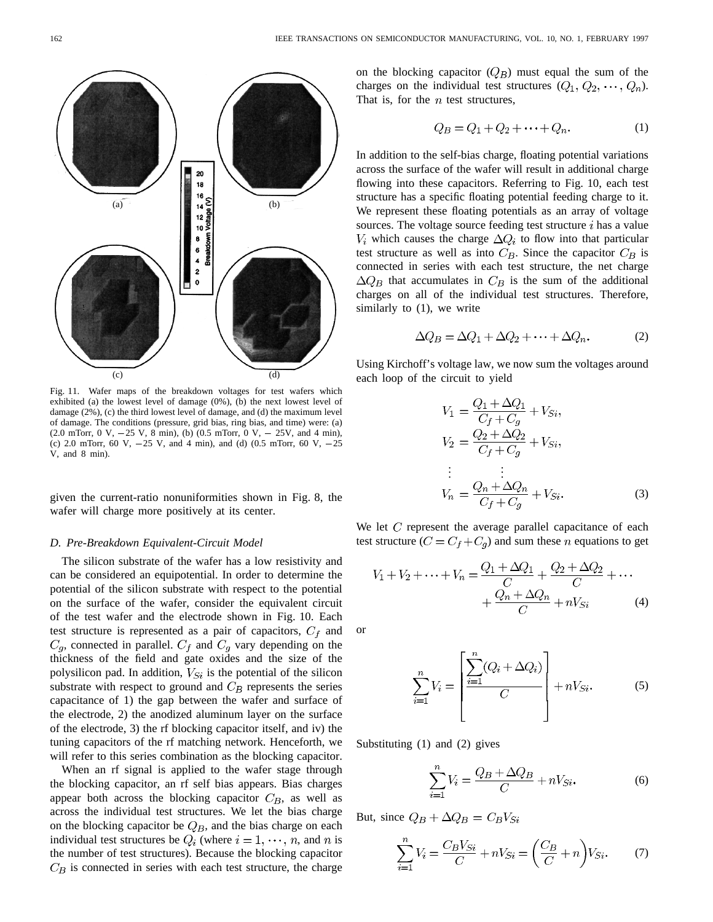

Fig. 11. Wafer maps of the breakdown voltages for test wafers which exhibited (a) the lowest level of damage  $(0\%)$ ,  $(b)$  the next lowest level of damage  $(2\%)$ ,  $(c)$  the third lowest level of damage, and  $(d)$  the maximum level of damage. The conditions (pressure, grid bias, ring bias, an damage (2%), (c) the third lowest level of damage, and (d) the maximum level of damage. The conditions (pressure, grid bias, ring bias, and time) were: (a) damage  $(2\%)$ , (c) the third lowest level of damage, and (d) the maximum level<br>of damage. The conditions (pressure, grid bias, ring bias, and time) were: (a)<br> $(2.0 \text{ mTorr}, 0 \text{ V}, -25 \text{ V}, 8 \text{ min})$ , (b)  $(0.5 \text{ mTorr}, 0 \text{ V}, -25$ V, and 8 min).

given the current-ratio nonuniformities shown in Fig. 8, the wafer will charge more positively at its center.

### *D. Pre-Breakdown Equivalent-Circuit Model*

The silicon substrate of the wafer has a low resistivity and can be considered an equipotential. In order to determine the potential of the silicon substrate with respect to the potential on the surface of the wafer, consider the equivalent circuit of the test wafer and the electrode shown in Fig. 10. Each test structure is represented as a pair of capacitors,  $C_f$  and  $C_g$ , connected in parallel.  $C_f$  and  $C_g$  vary depending on the thickness of the field and gate oxides and the size of the polysilicon pad. In addition,  $V_{Si}$  is the potential of the silicon substrate with respect to ground and  $C_B$  represents the series capacitance of 1) the gap between the wafer and surface of the electrode, 2) the anodized aluminum layer on the surface of the electrode, 3) the rf blocking capacitor itself, and iv) the tuning capacitors of the rf matching network. Henceforth, we will refer to this series combination as the blocking capacitor.

When an rf signal is applied to the wafer stage through the blocking capacitor, an rf self bias appears. Bias charges appear both across the blocking capacitor  $C_B$ , as well as across the individual test structures. We let the bias charge on the blocking capacitor be  $Q_B$ , and the bias charge on each individual test structures be  $Q_i$  (where  $i = 1, \dots, n$ , and n is the number of test structures). Because the blocking capacitor  $C_B$  is connected in series with each test structure, the charge on the blocking capacitor  $(Q_B)$  must equal the sum of the charges on the individual test structures  $(Q_1, Q_2, \dots, Q_n)$ . That is, for the  $n$  test structures,

$$
Q_B = Q_1 + Q_2 + \dots + Q_n.
$$
 (1)

In addition to the self-bias charge, floating potential variations across the surface of the wafer will result in additional charge flowing into these capacitors. Referring to Fig. 10, each test structure has a specific floating potential feeding charge to it. We represent these floating potentials as an array of voltage sources. The voltage source feeding test structure  $i$  has a value  $V_i$  which causes the charge  $\Delta Q_i$  to flow into that particular test structure as well as into  $C_B$ . Since the capacitor  $C_B$  is connected in series with each test structure, the net charge  $\Delta Q_B$  that accumulates in  $C_B$  is the sum of the additional charges on all of the individual test structures. Therefore, similarly to (1), we write

$$
\Delta Q_B = \Delta Q_1 + \Delta Q_2 + \dots + \Delta Q_n. \tag{2}
$$

Using Kirchoff's voltage law, we now sum the voltages around each loop of the circuit to yield

$$
V_1 = \frac{Q_1 + \Delta Q_1}{C_f + C_g} + V_{Si},
$$
  
\n
$$
V_2 = \frac{Q_2 + \Delta Q_2}{C_f + C_g} + V_{Si},
$$
  
\n
$$
\vdots \qquad \vdots
$$
  
\n
$$
V_n = \frac{Q_n + \Delta Q_n}{C_f + C_g} + V_{Si}.
$$
\n(3)

We let  $C$  represent the average parallel capacitance of each test structure  $(C = C_f + C_g)$  and sum these *n* equations to get

$$
V_1 + V_2 + \dots + V_n = \frac{Q_1 + \Delta Q_1}{C} + \frac{Q_2 + \Delta Q_2}{C} + \dots + \frac{Q_n + \Delta Q_n}{C} + nV_{Si}
$$
 (4)

or

$$
\sum_{i=1}^{n} V_i = \left[ \frac{\sum_{i=1}^{n} (Q_i + \Delta Q_i)}{C} \right] + nV_{Si}.
$$
 (5)

Substituting (1) and (2) gives

$$
\sum_{i=1}^{n} V_i = \frac{Q_B + \Delta Q_B}{C} + nV_{Si}.
$$
 (6)

But, since  $Q_B + \Delta Q_B = C_B V_{Si}$ 

$$
\sum_{i=1}^{n} V_i = \frac{C_B V_{Si}}{C} + nV_{Si} = \left(\frac{C_B}{C} + n\right) V_{Si}.
$$
 (7)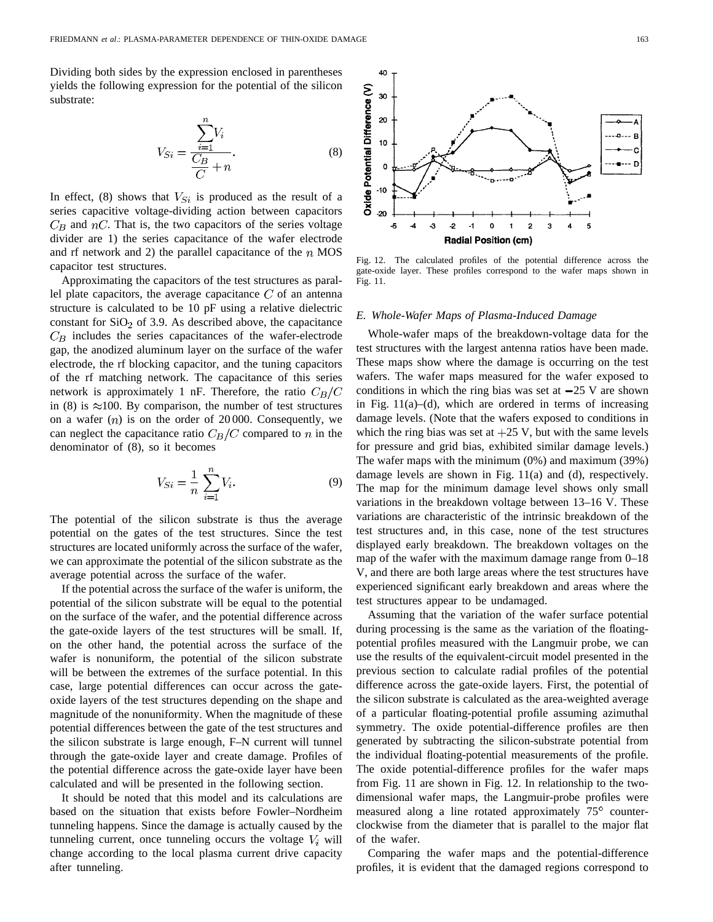Dividing both sides by the expression enclosed in parentheses yields the following expression for the potential of the silicon substrate:

$$
V_{Si} = \frac{\sum_{i=1}^{n} V_i}{\frac{C_B}{C} + n}.
$$
\n(8)

In effect, (8) shows that  $V_{Si}$  is produced as the result of a series capacitive voltage-dividing action between capacitors  $C_B$  and nC. That is, the two capacitors of the series voltage divider are 1) the series capacitance of the wafer electrode and rf network and 2) the parallel capacitance of the  $n$  MOS capacitor test structures.

Approximating the capacitors of the test structures as parallel plate capacitors, the average capacitance  $C$  of an antenna structure is calculated to be 10 pF using a relative dielectric constant for  $SiO<sub>2</sub>$  of 3.9. As described above, the capacitance  $C_B$  includes the series capacitances of the wafer-electrode gap, the anodized aluminum layer on the surface of the wafer electrode, the rf blocking capacitor, and the tuning capacitors of the rf matching network. The capacitance of this series network is approximately 1 nF. Therefore, the ratio  $C_B/C$ in (8) is  $\approx$ 100. By comparison, the number of test structures on a wafer  $(n)$  is on the order of 20000. Consequently, we can neglect the capacitance ratio  $C_B/C$  compared to n in the denominator of (8), so it becomes

$$
V_{Si} = \frac{1}{n} \sum_{i=1}^{n} V_i.
$$
 (9)

The potential of the silicon substrate is thus the average potential on the gates of the test structures. Since the test structures are located uniformly across the surface of the wafer, we can approximate the potential of the silicon substrate as the average potential across the surface of the wafer.

If the potential across the surface of the wafer is uniform, the potential of the silicon substrate will be equal to the potential on the surface of the wafer, and the potential difference across the gate-oxide layers of the test structures will be small. If, on the other hand, the potential across the surface of the wafer is nonuniform, the potential of the silicon substrate will be between the extremes of the surface potential. In this case, large potential differences can occur across the gateoxide layers of the test structures depending on the shape and magnitude of the nonuniformity. When the magnitude of these potential differences between the gate of the test structures and the silicon substrate is large enough, F–N current will tunnel through the gate-oxide layer and create damage. Profiles of the potential difference across the gate-oxide layer have been calculated and will be presented in the following section.

It should be noted that this model and its calculations are based on the situation that exists before Fowler–Nordheim tunneling happens. Since the damage is actually caused by the tunneling current, once tunneling occurs the voltage  $V_i$  will change according to the local plasma current drive capacity after tunneling.



Fig. 12. The calculated profiles of the potential difference across the gate-oxide layer. These profiles correspond to the wafer maps shown in Fig. 11.

#### *E. Whole-Wafer Maps of Plasma-Induced Damage*

Whole-wafer maps of the breakdown-voltage data for the test structures with the largest antenna ratios have been made. These maps show where the damage is occurring on the test wafers. The wafer maps measured for the wafer exposed to conditions in which the ring bias was set at  $-25$  V are shown in Fig.  $11(a)$ –(d), which are ordered in terms of increasing damage levels. (Note that the wafers exposed to conditions in which the ring bias was set at  $+25$  V, but with the same levels for pressure and grid bias, exhibited similar damage levels.) The wafer maps with the minimum (0%) and maximum (39%) damage levels are shown in Fig. 11(a) and (d), respectively. The map for the minimum damage level shows only small variations in the breakdown voltage between 13–16 V. These variations are characteristic of the intrinsic breakdown of the test structures and, in this case, none of the test structures displayed early breakdown. The breakdown voltages on the map of the wafer with the maximum damage range from 0–18 V, and there are both large areas where the test structures have experienced significant early breakdown and areas where the test structures appear to be undamaged.

Assuming that the variation of the wafer surface potential during processing is the same as the variation of the floatingpotential profiles measured with the Langmuir probe, we can use the results of the equivalent-circuit model presented in the previous section to calculate radial profiles of the potential difference across the gate-oxide layers. First, the potential of the silicon substrate is calculated as the area-weighted average of a particular floating-potential profile assuming azimuthal symmetry. The oxide potential-difference profiles are then generated by subtracting the silicon-substrate potential from the individual floating-potential measurements of the profile. The oxide potential-difference profiles for the wafer maps from Fig. 11 are shown in Fig. 12. In relationship to the twodimensional wafer maps, the Langmuir-probe profiles were measured along a line rotated approximately  $75^{\circ}$  counterclockwise from the diameter that is parallel to the major flat of the wafer.

Comparing the wafer maps and the potential-difference profiles, it is evident that the damaged regions correspond to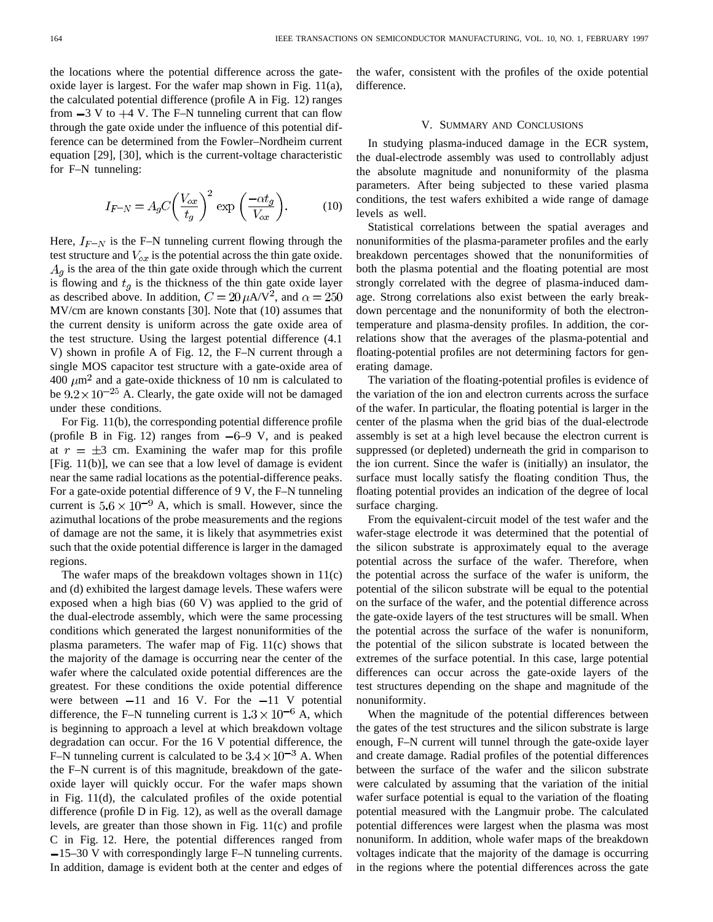the locations where the potential difference across the gateoxide layer is largest. For the wafer map shown in Fig. 11(a), the calculated potential difference (profile A in Fig. 12) ranges from  $-3$  V to  $+4$  V. The F–N tunneling current that can flow through the gate oxide under the influence of this potential difference can be determined from the Fowler–Nordheim current equation [29], [30], which is the current-voltage characteristic for F–N tunneling:

$$
I_{F-N} = A_g C \left(\frac{V_{ox}}{t_g}\right)^2 \exp\left(\frac{-\alpha t_g}{V_{ox}}\right). \tag{10}
$$

Here,  $I_{F-N}$  is the F–N tunneling current flowing through the test structure and  $V_{ox}$  is the potential across the thin gate oxide.  $A_q$  is the area of the thin gate oxide through which the current is flowing and  $t_q$  is the thickness of the thin gate oxide layer as described above. In addition,  $C = 20 \mu A/V^2$ , and  $\alpha = 250$ MV/cm are known constants [30]. Note that (10) assumes that the current density is uniform across the gate oxide area of the test structure. Using the largest potential difference (4.1 V) shown in profile A of Fig. 12, the F–N current through a single MOS capacitor test structure with a gate-oxide area of 400  $\mu$ m<sup>2</sup> and a gate-oxide thickness of 10 nm is calculated to be  $9.2 \times 10^{-25}$  A. Clearly, the gate oxide will not be damaged under these conditions.

For Fig. 11(b), the corresponding potential difference profile (profile B in Fig. 12) ranges from  $-6-9$  V, and is peaked at  $r = \pm 3$  cm. Examining the wafer map for this profile [Fig. 11(b)], we can see that a low level of damage is evident near the same radial locations as the potential-difference peaks. For a gate-oxide potential difference of 9 V, the F–N tunneling current is  $5.6 \times 10^{-9}$  A, which is small. However, since the azimuthal locations of the probe measurements and the regions of damage are not the same, it is likely that asymmetries exist such that the oxide potential difference is larger in the damaged regions.

The wafer maps of the breakdown voltages shown in  $11(c)$ and (d) exhibited the largest damage levels. These wafers were exposed when a high bias (60 V) was applied to the grid of the dual-electrode assembly, which were the same processing conditions which generated the largest nonuniformities of the plasma parameters. The wafer map of Fig. 11(c) shows that the majority of the damage is occurring near the center of the wafer where the calculated oxide potential differences are the greatest. For these conditions the oxide potential difference were between  $-11$  and 16 V. For the  $-11$  V potential difference, the F–N tunneling current is  $1.3 \times 10^{-6}$  A, which is beginning to approach a level at which breakdown voltage degradation can occur. For the 16 V potential difference, the F–N tunneling current is calculated to be  $3.4 \times 10^{-3}$  A. When the F–N current is of this magnitude, breakdown of the gateoxide layer will quickly occur. For the wafer maps shown in Fig. 11(d), the calculated profiles of the oxide potential difference (profile D in Fig. 12), as well as the overall damage levels, are greater than those shown in Fig. 11(c) and profile C in Fig. 12. Here, the potential differences ranged from  $-15-30$  V with correspondingly large F–N tunneling currents. In addition, damage is evident both at the center and edges of the wafer, consistent with the profiles of the oxide potential difference.

#### V. SUMMARY AND CONCLUSIONS

In studying plasma-induced damage in the ECR system, the dual-electrode assembly was used to controllably adjust the absolute magnitude and nonuniformity of the plasma parameters. After being subjected to these varied plasma conditions, the test wafers exhibited a wide range of damage levels as well.

Statistical correlations between the spatial averages and nonuniformities of the plasma-parameter profiles and the early breakdown percentages showed that the nonuniformities of both the plasma potential and the floating potential are most strongly correlated with the degree of plasma-induced damage. Strong correlations also exist between the early breakdown percentage and the nonuniformity of both the electrontemperature and plasma-density profiles. In addition, the correlations show that the averages of the plasma-potential and floating-potential profiles are not determining factors for generating damage.

The variation of the floating-potential profiles is evidence of the variation of the ion and electron currents across the surface of the wafer. In particular, the floating potential is larger in the center of the plasma when the grid bias of the dual-electrode assembly is set at a high level because the electron current is suppressed (or depleted) underneath the grid in comparison to the ion current. Since the wafer is (initially) an insulator, the surface must locally satisfy the floating condition Thus, the floating potential provides an indication of the degree of local surface charging.

From the equivalent-circuit model of the test wafer and the wafer-stage electrode it was determined that the potential of the silicon substrate is approximately equal to the average potential across the surface of the wafer. Therefore, when the potential across the surface of the wafer is uniform, the potential of the silicon substrate will be equal to the potential on the surface of the wafer, and the potential difference across the gate-oxide layers of the test structures will be small. When the potential across the surface of the wafer is nonuniform, the potential of the silicon substrate is located between the extremes of the surface potential. In this case, large potential differences can occur across the gate-oxide layers of the test structures depending on the shape and magnitude of the nonuniformity.

When the magnitude of the potential differences between the gates of the test structures and the silicon substrate is large enough, F–N current will tunnel through the gate-oxide layer and create damage. Radial profiles of the potential differences between the surface of the wafer and the silicon substrate were calculated by assuming that the variation of the initial wafer surface potential is equal to the variation of the floating potential measured with the Langmuir probe. The calculated potential differences were largest when the plasma was most nonuniform. In addition, whole wafer maps of the breakdown voltages indicate that the majority of the damage is occurring in the regions where the potential differences across the gate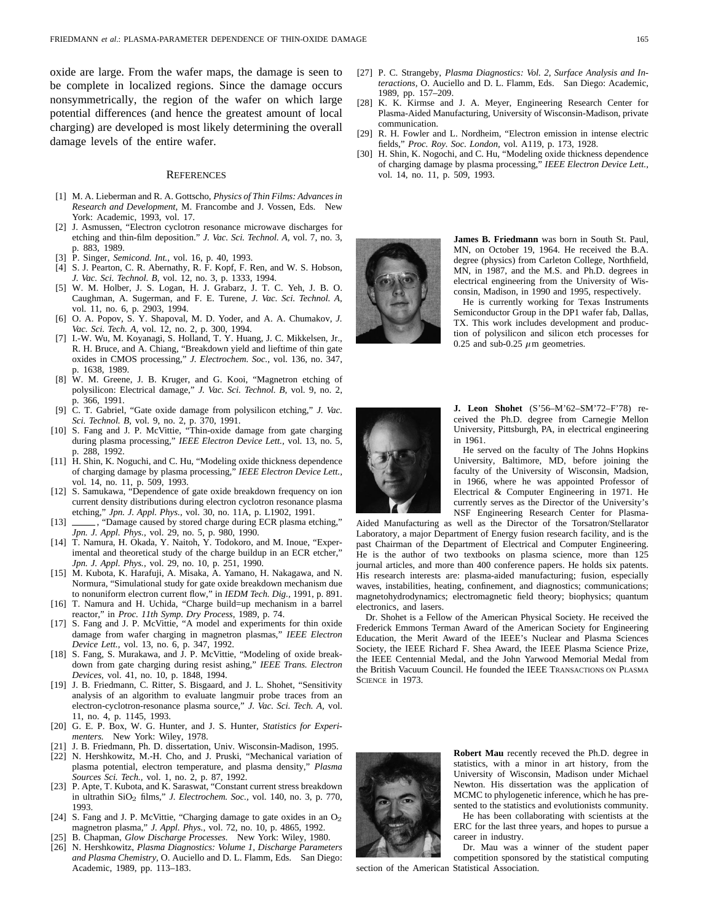oxide are large. From the wafer maps, the damage is seen to be complete in localized regions. Since the damage occurs nonsymmetrically, the region of the wafer on which large potential differences (and hence the greatest amount of local charging) are developed is most likely determining the overall damage levels of the entire wafer.

#### **REFERENCES**

- [1] M. A. Lieberman and R. A. Gottscho, *Physics of Thin Films: Advances in Research and Development,* M. Francombe and J. Vossen, Eds. New York: Academic, 1993, vol. 17.
- [2] J. Asmussen, "Electron cyclotron resonance microwave discharges for etching and thin-film deposition." *J. Vac. Sci. Technol. A,* vol. 7, no. 3, p. 883, 1989.
- [3] P. Singer, *Semicond. Int.,* vol. 16, p. 40, 1993.
- [4] S. J. Pearton, C. R. Abernathy, R. F. Kopf, F. Ren, and W. S. Hobson, *J. Vac. Sci. Technol. B,* vol. 12, no. 3, p. 1333, 1994.
- [5] W. M. Holber, J. S. Logan, H. J. Grabarz, J. T. C. Yeh, J. B. O. Caughman, A. Sugerman, and F. E. Turene, *J. Vac. Sci. Technol. A,* vol. 11, no. 6, p. 2903, 1994.
- [6] O. A. Popov, S. Y. Shapoval, M. D. Yoder, and A. A. Chumakov, *J. Vac. Sci. Tech. A,* vol. 12, no. 2, p. 300, 1994.
- [7] I.-W. Wu, M. Koyanagi, S. Holland, T. Y. Huang, J. C. Mikkelsen, Jr., R. H. Bruce, and A. Chiang, "Breakdown yield and lieftime of thin gate oxides in CMOS processing," *J. Electrochem. Soc.,* vol. 136, no. 347, p. 1638, 1989.
- [8] W. M. Greene, J. B. Kruger, and G. Kooi, "Magnetron etching of polysilicon: Electrical damage," *J. Vac. Sci. Technol. B,* vol. 9, no. 2, p. 366, 1991.
- [9] C. T. Gabriel, "Gate oxide damage from polysilicon etching," *J. Vac. Sci. Technol. B,* vol. 9, no. 2, p. 370, 1991.
- [10] S. Fang and J. P. McVittie, "Thin-oxide damage from gate charging during plasma processing," *IEEE Electron Device Lett.,* vol. 13, no. 5, p. 288, 1992.
- [11] H. Shin, K. Noguchi, and C. Hu, "Modeling oxide thickness dependence of charging damage by plasma processing," *IEEE Electron Device Lett.,* vol. 14, no. 11, p. 509, 1993.
- [12] S. Samukawa, "Dependence of gate oxide breakdown frequency on ion current density distributions during electron cyclotron resonance plasma etching," *Jpn. J. Appl. Phys.,* vol. 30, no. 11A, p. L1902, 1991.
- [13] \_\_\_\_, "Damage caused by stored charge during ECR plasma etching," *Jpn. J. Appl. Phys.,* vol. 29, no. 5, p. 980, 1990.
- [14] T. Namura, H. Okada, Y. Naitoh, Y. Todokoro, and M. Inoue, "Experimental and theoretical study of the charge buildup in an ECR etcher," *Jpn. J. Appl. Phys.,* vol. 29, no. 10, p. 251, 1990.
- [15] M. Kubota, K. Harafuji, A. Misaka, A. Yamano, H. Nakagawa, and N. Normura, "Simulational study for gate oxide breakdown mechanism due to nonuniform electron current flow," in *IEDM Tech. Dig.,* 1991, p. 891.
- [16] T. Namura and H. Uchida, "Charge build=up mechanism in a barrel reactor," in *Proc. 11th Symp. Dry Process,* 1989, p. 74.
- [17] S. Fang and J. P. McVittie, "A model and experiments for thin oxide damage from wafer charging in magnetron plasmas," *IEEE Electron Device Lett.,* vol. 13, no. 6, p. 347, 1992.
- [18] S. Fang, S. Murakawa, and J. P. McVittie, "Modeling of oxide breakdown from gate charging during resist ashing," *IEEE Trans. Electron Devices,* vol. 41, no. 10, p. 1848, 1994.
- [19] J. B. Friedmann, C. Ritter, S. Bisgaard, and J. L. Shohet, "Sensitivity analysis of an algorithm to evaluate langmuir probe traces from an electron-cyclotron-resonance plasma source," *J. Vac. Sci. Tech. A,* vol. 11, no. 4, p. 1145, 1993.
- [20] G. E. P. Box, W. G. Hunter, and J. S. Hunter, *Statistics for Experimenters.* New York: Wiley, 1978.
- [21] J. B. Friedmann, Ph. D. dissertation, Univ. Wisconsin-Madison, 1995.
- [22] N. Hershkowitz, M.-H. Cho, and J. Pruski, "Mechanical variation of plasma potential, electron temperature, and plasma density," *Plasma Sources Sci. Tech.,* vol. 1, no. 2, p. 87, 1992.
- [23] P. Apte, T. Kubota, and K. Saraswat, "Constant current stress breakdown in ultrathin SiO2 films," *J. Electrochem. Soc.,* vol. 140, no. 3, p. 770, 1993.
- [24] S. Fang and J. P. McVittie, "Charging damage to gate oxides in an O<sub>2</sub> magnetron plasma," *J. Appl. Phys.,* vol. 72, no. 10, p. 4865, 1992.
- [25] B. Chapman, *Glow Discharge Processes.* New York: Wiley, 1980.
- [26] N. Hershkowitz, *Plasma Diagnostics: Volume 1, Discharge Parameters and Plasma Chemistry,* O. Auciello and D. L. Flamm, Eds. San Diego: Academic, 1989, pp. 113–183.
- [27] P. C. Strangeby, *Plasma Diagnostics: Vol. 2, Surface Analysis and Interactions,* O. Auciello and D. L. Flamm, Eds. San Diego: Academic, 1989, pp. 157–209.
- [28] K. K. Kirmse and J. A. Meyer, Engineering Research Center for Plasma-Aided Manufacturing, University of Wisconsin-Madison, private communication.
- [29] R. H. Fowler and L. Nordheim, "Electron emission in intense electric fields," *Proc. Roy. Soc. London,* vol. A119, p. 173, 1928.
- [30] H. Shin, K. Nogochi, and C. Hu, "Modeling oxide thickness dependence of charging damage by plasma processing," *IEEE Electron Device Lett.,* vol. 14, no. 11, p. 509, 1993.



**James B. Friedmann** was born in South St. Paul, MN, on October 19, 1964. He received the B.A. degree (physics) from Carleton College, Northfield, MN, in 1987, and the M.S. and Ph.D. degrees in electrical engineering from the University of Wisconsin, Madison, in 1990 and 1995, respectively.

He is currently working for Texas Instruments Semiconductor Group in the DP1 wafer fab, Dallas, TX. This work includes development and production of polysilicon and silicon etch processes for 0.25 and sub-0.25  $\mu$ m geometries.



**J. Leon Shohet** (S'56–M'62–SM'72–F'78) received the Ph.D. degree from Carnegie Mellon University, Pittsburgh, PA, in electrical engineering in 1961.

He served on the faculty of The Johns Hopkins University, Baltimore, MD, before joining the faculty of the University of Wisconsin, Madsion, in 1966, where he was appointed Professor of Electrical & Computer Engineering in 1971. He currently serves as the Director of the University's NSF Engineering Research Center for Plasma-

Aided Manufacturing as well as the Director of the Torsatron/Stellarator Laboratory, a major Department of Energy fusion research facility, and is the past Chairman of the Department of Electrical and Computer Engineering. He is the author of two textbooks on plasma science, more than 125 journal articles, and more than 400 conference papers. He holds six patents. His research interests are: plasma-aided manufacturing; fusion, especially waves, instabilities, heating, confinement, and diagnostics; communications; magnetohydrodynamics; electromagnetic field theory; biophysics; quantum electronics, and lasers.

Dr. Shohet is a Fellow of the American Physical Society. He received the Frederick Emmons Terman Award of the American Society for Engineering Education, the Merit Award of the IEEE's Nuclear and Plasma Sciences Society, the IEEE Richard F. Shea Award, the IEEE Plasma Science Prize, the IEEE Centennial Medal, and the John Yarwood Memorial Medal from the British Vacuum Council. He founded the IEEE TRANSACTIONS ON PLASMA SCIENCE in 1973.



**Robert Mau** recently receved the Ph.D. degree in statistics, with a minor in art history, from the University of Wisconsin, Madison under Michael Newton. His dissertation was the application of MCMC to phylogenetic inference, which he has presented to the statistics and evolutionists community.

He has been collaborating with scientists at the ERC for the last three years, and hopes to pursue a career in industry.

Dr. Mau was a winner of the student paper competition sponsored by the statistical computing section of the American Statistical Association.